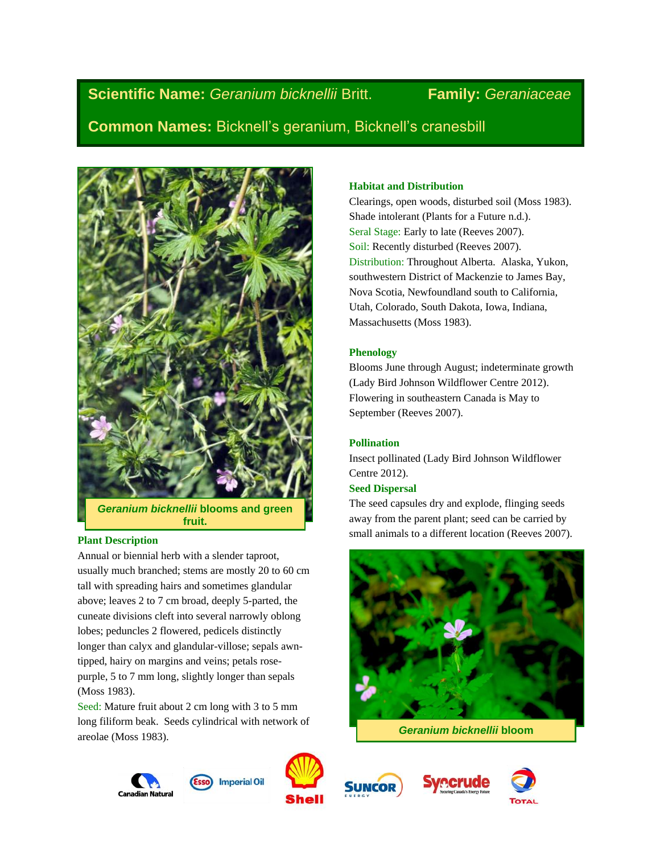# **Scientific Name:** *Geranium bicknellii* Britt. **Family:** *Geraniaceae*

**Common Names:** Bicknell's geranium, Bicknell's cranesbill



*Geranium bicknellii* **blooms and green fruit.**

# **Plant Description**

Annual or biennial herb with a slender taproot, usually much branched; stems are mostly 20 to 60 cm tall with spreading hairs and sometimes glandular above; leaves 2 to 7 cm broad, deeply 5-parted, the cuneate divisions cleft into several narrowly oblong lobes; peduncles 2 flowered, pedicels distinctly longer than calyx and glandular-villose; sepals awntipped, hairy on margins and veins; petals rosepurple, 5 to 7 mm long, slightly longer than sepals (Moss 1983).

Seed: Mature fruit about 2 cm long with 3 to 5 mm long filiform beak. Seeds cylindrical with network of areolae (Moss 1983).

# **Habitat and Distribution**

Clearings, open woods, disturbed soil (Moss 1983). Shade intolerant (Plants for a Future n.d.). Seral Stage: Early to late (Reeves 2007). Soil: Recently disturbed (Reeves 2007). Distribution: Throughout Alberta. Alaska, Yukon, southwestern District of Mackenzie to James Bay, Nova Scotia, Newfoundland south to California, Utah, Colorado, South Dakota, Iowa, Indiana, Massachusetts (Moss 1983).

# **Phenology**

Blooms June through August; indeterminate growth (Lady Bird Johnson Wildflower Centre 2012). Flowering in southeastern Canada is May to September (Reeves 2007).

# **Pollination**

Insect pollinated (Lady Bird Johnson Wildflower Centre 2012).

# **Seed Dispersal**

The seed capsules dry and explode, flinging seeds away from the parent plant; seed can be carried by small animals to a different location (Reeves 2007).



*Geranium bicknellii* **bloom**









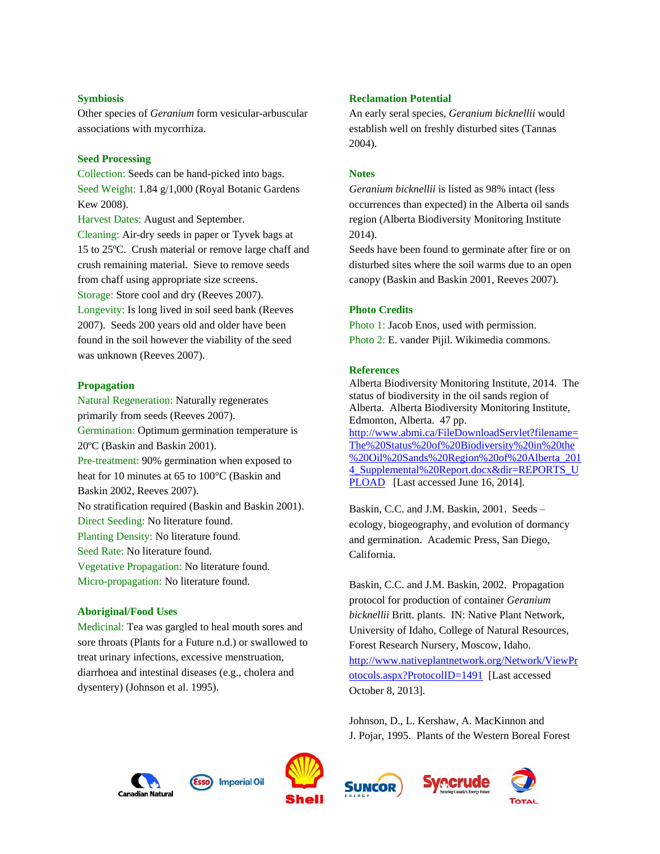### **Symbiosis**

Other species of *Geranium* form vesicular-arbuscular associations with mycorrhiza.

#### **Seed Processing**

Collection: Seeds can be hand-picked into bags. Seed Weight: 1.84 g/1,000 (Royal Botanic Gardens Kew 2008).

Harvest Dates: August and September. Cleaning: Air-dry seeds in paper or Tyvek bags at 15 to 25ºC. Crush material or remove large chaff and crush remaining material. Sieve to remove seeds from chaff using appropriate size screens. Storage: Store cool and dry (Reeves 2007). Longevity: Is long lived in soil seed bank (Reeves

2007). Seeds 200 years old and older have been found in the soil however the viability of the seed was unknown (Reeves 2007).

# **Propagation**

Natural Regeneration: Naturally regenerates primarily from seeds (Reeves 2007). Germination: Optimum germination temperature is 20ºC (Baskin and Baskin 2001). Pre-treatment: 90% germination when exposed to heat for 10 minutes at 65 to 100°C (Baskin and Baskin 2002, Reeves 2007). No stratification required (Baskin and Baskin 2001). Direct Seeding: No literature found. Planting Density: No literature found. Seed Rate: No literature found. Vegetative Propagation: No literature found. Micro-propagation: No literature found.

#### **Aboriginal/Food Uses**

Medicinal: Tea was gargled to heal mouth sores and sore throats (Plants for a Future n.d.) or swallowed to treat urinary infections, excessive menstruation, diarrhoea and intestinal diseases (e.g., cholera and dysentery) (Johnson et al. 1995).

## **Reclamation Potential**

An early seral species, *Geranium bicknellii* would establish well on freshly disturbed sites (Tannas 2004).

#### **Notes**

*Geranium bicknellii* is listed as 98% intact (less occurrences than expected) in the Alberta oil sands region (Alberta Biodiversity Monitoring Institute 2014).

Seeds have been found to germinate after fire or on disturbed sites where the soil warms due to an open canopy (Baskin and Baskin 2001, Reeves 2007).

### **Photo Credits**

Photo 1: Jacob Enos, used with permission. Photo 2: E. vander Pijil. Wikimedia commons.

#### **References**

Alberta Biodiversity Monitoring Institute, 2014. The status of biodiversity in the oil sands region of Alberta. Alberta Biodiversity Monitoring Institute, Edmonton, Alberta. 47 pp. [http://www.abmi.ca/FileDownloadServlet?filename=](http://www.abmi.ca/FileDownloadServlet?filename=The%20Status%20of%20Biodiversity%20in%20the%20Oil%20Sands%20Region%20of%20Alberta_2014_Supplemental%20Report.docx&dir=REPORTS_UPLOAD) [The%20Status%20of%20Biodiversity%20in%20the](http://www.abmi.ca/FileDownloadServlet?filename=The%20Status%20of%20Biodiversity%20in%20the%20Oil%20Sands%20Region%20of%20Alberta_2014_Supplemental%20Report.docx&dir=REPORTS_UPLOAD) [%20Oil%20Sands%20Region%20of%20Alberta\\_201](http://www.abmi.ca/FileDownloadServlet?filename=The%20Status%20of%20Biodiversity%20in%20the%20Oil%20Sands%20Region%20of%20Alberta_2014_Supplemental%20Report.docx&dir=REPORTS_UPLOAD) 4 Supplemental%20Report.docx&dir=REPORTS\_U [PLOAD](http://www.abmi.ca/FileDownloadServlet?filename=The%20Status%20of%20Biodiversity%20in%20the%20Oil%20Sands%20Region%20of%20Alberta_2014_Supplemental%20Report.docx&dir=REPORTS_UPLOAD) [Last accessed June 16, 2014].

Baskin, C.C. and J.M. Baskin, 2001. Seeds – ecology, biogeography, and evolution of dormancy and germination. Academic Press, San Diego, California.

Baskin, C.C. and J.M. Baskin, 2002. Propagation protocol for production of container *Geranium bicknellii* Britt. plants. IN: Native Plant Network, University of Idaho, College of Natural Resources, Forest Research Nursery, Moscow, Idaho. [http://www.nativeplantnetwork.org/Network/ViewPr](http://www.nativeplantnetwork.org/Network/ViewProtocols.aspx?ProtocolID=1491) [otocols.aspx?ProtocolID=1491](http://www.nativeplantnetwork.org/Network/ViewProtocols.aspx?ProtocolID=1491) [Last accessed October 8, 2013].

Johnson, D., L. Kershaw, A. MacKinnon and J. Pojar, 1995. Plants of the Western Boreal Forest